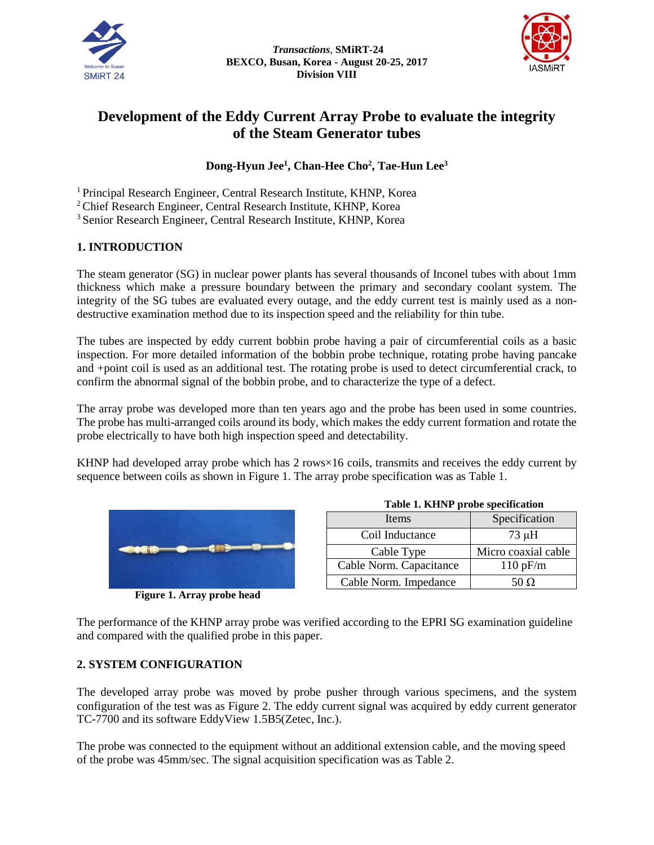



# **Development of the Eddy Current Array Probe to evaluate the integrity of the Steam Generator tubes**

# **Dong-Hyun Jee<sup>1</sup> , Chan-Hee Cho<sup>2</sup> , Tae-Hun Lee<sup>3</sup>**

<sup>1</sup> Principal Research Engineer, Central Research Institute, KHNP, Korea

<sup>2</sup>Chief Research Engineer, Central Research Institute, KHNP, Korea

<sup>3</sup> Senior Research Engineer, Central Research Institute, KHNP, Korea

# **1. INTRODUCTION**

The steam generator (SG) in nuclear power plants has several thousands of Inconel tubes with about 1mm thickness which make a pressure boundary between the primary and secondary coolant system. The integrity of the SG tubes are evaluated every outage, and the eddy current test is mainly used as a nondestructive examination method due to its inspection speed and the reliability for thin tube.

The tubes are inspected by eddy current bobbin probe having a pair of circumferential coils as a basic inspection. For more detailed information of the bobbin probe technique, rotating probe having pancake and +point coil is used as an additional test. The rotating probe is used to detect circumferential crack, to confirm the abnormal signal of the bobbin probe, and to characterize the type of a defect.

The array probe was developed more than ten years ago and the probe has been used in some countries. The probe has multi-arranged coils around its body, which makes the eddy current formation and rotate the probe electrically to have both high inspection speed and detectability.

KHNP had developed array probe which has 2 rows×16 coils, transmits and receives the eddy current by sequence between coils as shown in Figure 1. The array probe specification was as Table 1.



**Figure 1. Array probe head**

| Items                   | Specification       |
|-------------------------|---------------------|
| Coil Inductance         | $73 \mu H$          |
| Cable Type              | Micro coaxial cable |
| Cable Norm. Capacitance | 110 pF/m            |
| Cable Norm. Impedance   | 50 O                |

**Table 1. KHNP probe specification**

The performance of the KHNP array probe was verified according to the EPRI SG examination guideline and compared with the qualified probe in this paper.

#### **2. SYSTEM CONFIGURATION**

The developed array probe was moved by probe pusher through various specimens, and the system configuration of the test was as Figure 2. The eddy current signal was acquired by eddy current generator TC-7700 and its software EddyView 1.5B5(Zetec, Inc.).

The probe was connected to the equipment without an additional extension cable, and the moving speed of the probe was 45mm/sec. The signal acquisition specification was as Table 2.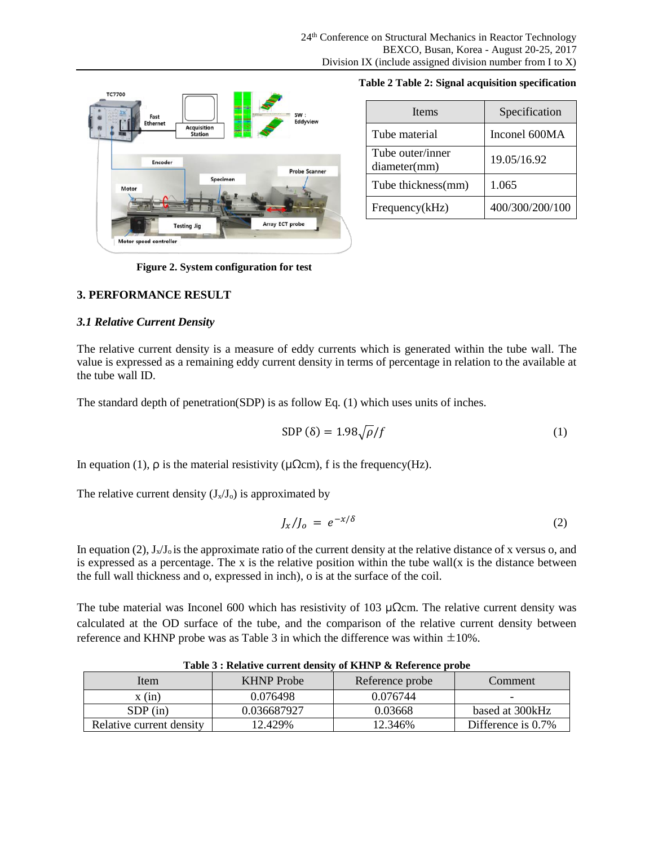

|  |  | Table 2 Table 2: Signal acquisition specification |
|--|--|---------------------------------------------------|
|  |  |                                                   |

| <b>Items</b>                     | Specification   |
|----------------------------------|-----------------|
| Tube material                    | Inconel 600MA   |
| Tube outer/inner<br>diameter(mm) | 19.05/16.92     |
| Tube thickness(mm)               | 1.065           |
| Frequency(kHz)                   | 400/300/200/100 |

**Figure 2. System configuration for test** 

#### **3. PERFORMANCE RESULT**

#### *3.1 Relative Current Density*

The relative current density is a measure of eddy currents which is generated within the tube wall. The value is expressed as a remaining eddy current density in terms of percentage in relation to the available at the tube wall ID.

The standard depth of penetration(SDP) is as follow Eq. (1) which uses units of inches.

$$
SDP(\delta) = 1.98\sqrt{\rho}/f\tag{1}
$$

In equation (1),  $\rho$  is the material resistivity ( $\mu\Omega$ cm), f is the frequency(Hz).

The relative current density  $(J_x/J_0)$  is approximated by

$$
J_x/J_o = e^{-x/\delta} \tag{2}
$$

In equation (2),  $J_x/J_0$  is the approximate ratio of the current density at the relative distance of x versus o, and is expressed as a percentage. The x is the relative position within the tube wall(x is the distance between the full wall thickness and o, expressed in inch), o is at the surface of the coil.

The tube material was Inconel 600 which has resistivity of 103 μ $\Omega$ cm. The relative current density was calculated at the OD surface of the tube, and the comparison of the relative current density between reference and KHNP probe was as Table 3 in which the difference was within  $\pm 10\%$ .

|                          | Table 5: Relative current delisity of KITAT & Reference probe |                 |                    |  |  |
|--------------------------|---------------------------------------------------------------|-----------------|--------------------|--|--|
| Item                     | <b>KHNP</b> Probe                                             | Reference probe | Comment            |  |  |
| x (in)                   | 0.076498                                                      | 0.076744        |                    |  |  |
| $SDP$ (in)               | 0.036687927                                                   | 0.03668         | based at 300 kHz   |  |  |
| Relative current density | 12.429%                                                       | 12.346%         | Difference is 0.7% |  |  |

**Table 3 : Relative current density of KHNP & Reference probe**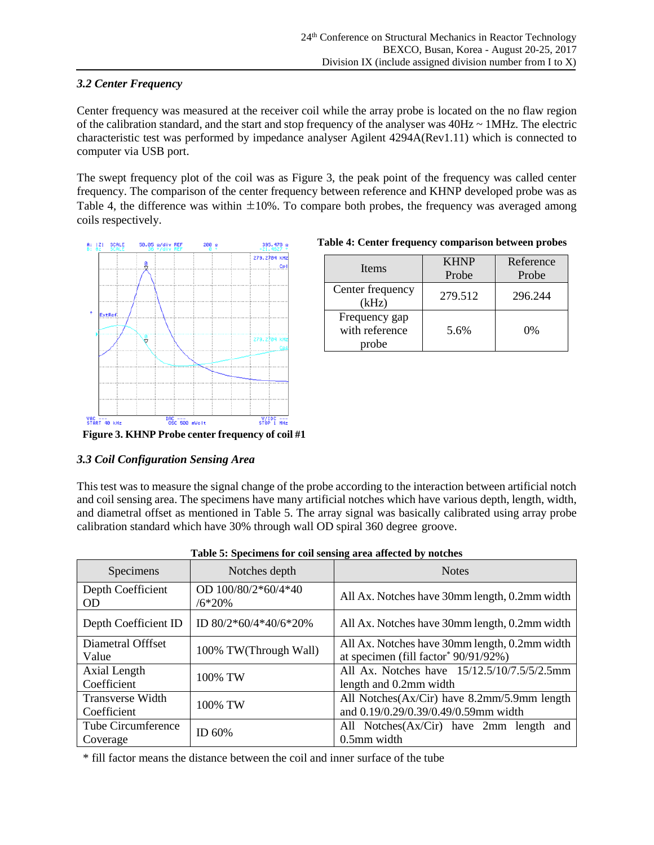# *3.2 Center Frequency*

Center frequency was measured at the receiver coil while the array probe is located on the no flaw region of the calibration standard, and the start and stop frequency of the analyser was  $40Hz \sim 1MHz$ . The electric characteristic test was performed by impedance analyser Agilent 4294A(Rev1.11) which is connected to computer via USB port.

The swept frequency plot of the coil was as Figure 3, the peak point of the frequency was called center frequency. The comparison of the center frequency between reference and KHNP developed probe was as Table 4, the difference was within  $\pm 10\%$ . To compare both probes, the frequency was averaged among coils respectively.



#### **Table 4: Center frequency comparison between probes**

| Items                                    | <b>KHNP</b><br>Probe | Reference<br>Probe |
|------------------------------------------|----------------------|--------------------|
| Center frequency<br>(kHz)                | 279.512              | 296.244            |
| Frequency gap<br>with reference<br>probe | 5.6%                 | $0\%$              |

# *3.3 Coil Configuration Sensing Area*

This test was to measure the signal change of the probe according to the interaction between artificial notch and coil sensing area. The specimens have many artificial notches which have various depth, length, width, and diametral offset as mentioned in Table 5. The array signal was basically calibrated using array probe calibration standard which have 30% through wall OD spiral 360 degree groove.

| Specimens                              | Notches depth                   | <b>Notes</b>                                                                                      |
|----------------------------------------|---------------------------------|---------------------------------------------------------------------------------------------------|
| Depth Coefficient<br><b>OD</b>         | OD 100/80/2*60/4*40<br>$/6*20%$ | All Ax. Notches have 30mm length, 0.2mm width                                                     |
| Depth Coefficient ID                   | ID 80/2*60/4*40/6*20%           | All Ax. Notches have 30mm length, 0.2mm width                                                     |
| Diametral Offfset<br>Value             | 100% TW(Through Wall)           | All Ax. Notches have 30mm length, 0.2mm width<br>at specimen (fill factor <sup>*</sup> 90/91/92%) |
| Axial Length<br>Coefficient            | 100% TW                         | All Ax. Notches have 15/12.5/10/7.5/5/2.5mm<br>length and 0.2mm width                             |
| <b>Transverse Width</b><br>Coefficient | 100% TW                         | All Notches(Ax/Cir) have 8.2mm/5.9mm length<br>and 0.19/0.29/0.39/0.49/0.59mm width               |
| Tube Circumference<br>Coverage         | ID 60%                          | All Notches (Ax/Cir) have 2mm length and<br>0.5mm width                                           |

| Table 5: Specimens for coil sensing area affected by notches |  |
|--------------------------------------------------------------|--|
|--------------------------------------------------------------|--|

\* fill factor means the distance between the coil and inner surface of the tube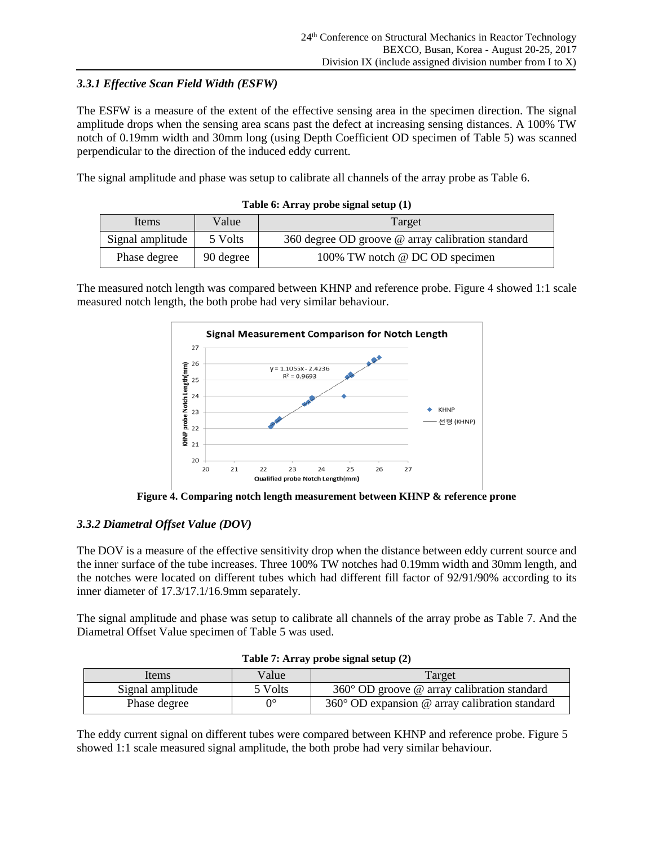# *3.3.1 Effective Scan Field Width (ESFW)*

The ESFW is a measure of the extent of the effective sensing area in the specimen direction. The signal amplitude drops when the sensing area scans past the defect at increasing sensing distances. A 100% TW notch of 0.19mm width and 30mm long (using Depth Coefficient OD specimen of Table 5) was scanned perpendicular to the direction of the induced eddy current.

The signal amplitude and phase was setup to calibrate all channels of the array probe as Table 6.

| Items            | Value     | Target                                            |
|------------------|-----------|---------------------------------------------------|
| Signal amplitude | 5 Volts   | 360 degree OD groove @ array calibration standard |
| Phase degree     | 90 degree | 100% TW notch @ DC OD specimen                    |

| Table 6: Array probe signal setup (1) |  |  |  |  |  |  |
|---------------------------------------|--|--|--|--|--|--|
|---------------------------------------|--|--|--|--|--|--|

The measured notch length was compared between KHNP and reference probe. Figure 4 showed 1:1 scale measured notch length, the both probe had very similar behaviour.



**Figure 4. Comparing notch length measurement between KHNP & reference prone** 

# *3.3.2 Diametral Offset Value (DOV)*

The DOV is a measure of the effective sensitivity drop when the distance between eddy current source and the inner surface of the tube increases. Three 100% TW notches had 0.19mm width and 30mm length, and the notches were located on different tubes which had different fill factor of 92/91/90% according to its inner diameter of 17.3/17.1/16.9mm separately.

The signal amplitude and phase was setup to calibrate all channels of the array probe as Table 7. And the Diametral Offset Value specimen of Table 5 was used.

| Items            | Value   | Target                                                  |
|------------------|---------|---------------------------------------------------------|
| Signal amplitude | 5 Volts | $360^{\circ}$ OD groove @ array calibration standard    |
| Phase degree     | O°      | $360^{\circ}$ OD expansion @ array calibration standard |

**Table 7: Array probe signal setup (2)**

The eddy current signal on different tubes were compared between KHNP and reference probe. Figure 5 showed 1:1 scale measured signal amplitude, the both probe had very similar behaviour.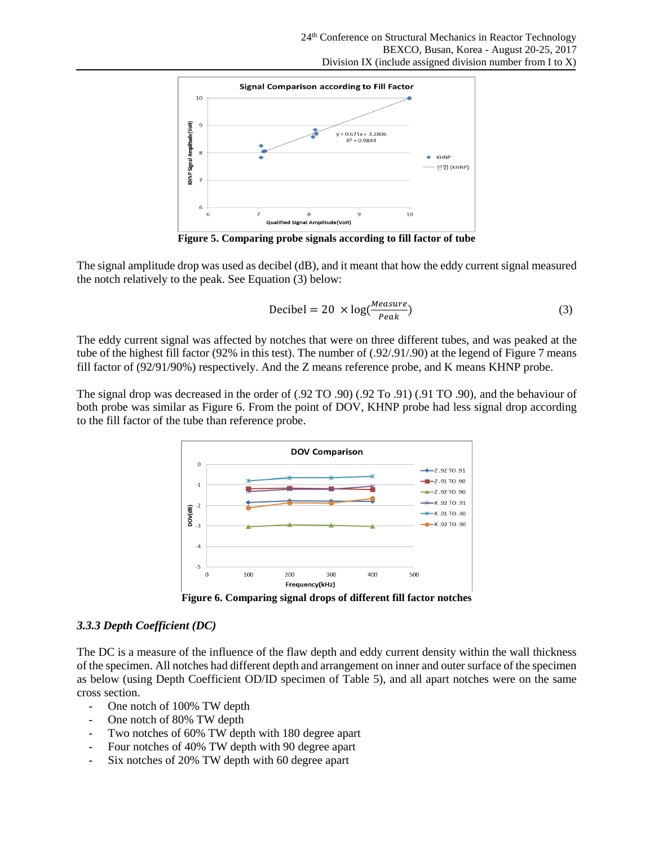

**Figure 5. Comparing probe signals according to fill factor of tube**

The signal amplitude drop was used as decibel (dB), and it meant that how the eddy current signal measured the notch relatively to the peak. See Equation (3) below:

$$
Decibel = 20 \times log(\frac{Measure}{Peak})
$$
 (3)

The eddy current signal was affected by notches that were on three different tubes, and was peaked at the tube of the highest fill factor (92% in this test). The number of (.92/.91/.90) at the legend of Figure 7 means fill factor of (92/91/90%) respectively. And the Z means reference probe, and K means KHNP probe.

The signal drop was decreased in the order of (.92 TO .90) (.92 To .91) (.91 TO .90), and the behaviour of both probe was similar as Figure 6. From the point of DOV, KHNP probe had less signal drop according to the fill factor of the tube than reference probe.



**Figure 6. Comparing signal drops of different fill factor notches**

#### *3.3.3 Depth Coefficient (DC)*

The DC is a measure of the influence of the flaw depth and eddy current density within the wall thickness of the specimen. All notches had different depth and arrangement on inner and outer surface of the specimen as below (using Depth Coefficient OD/ID specimen of Table 5), and all apart notches were on the same cross section.

- One notch of 100% TW depth
- One notch of 80% TW depth
- Two notches of 60% TW depth with 180 degree apart
- Four notches of 40% TW depth with 90 degree apart
- Six notches of 20% TW depth with 60 degree apart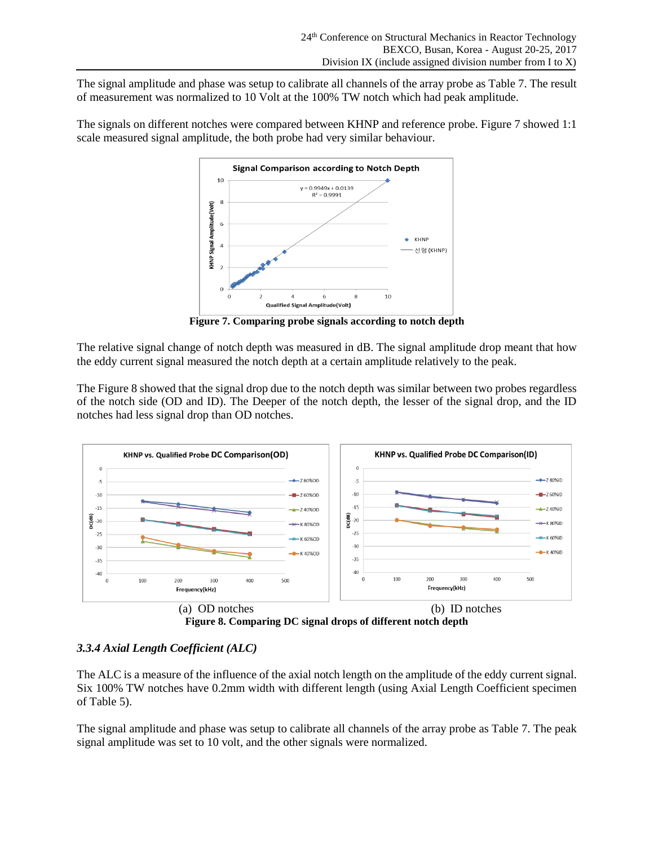The signal amplitude and phase was setup to calibrate all channels of the array probe as Table 7. The result of measurement was normalized to 10 Volt at the 100% TW notch which had peak amplitude.

The signals on different notches were compared between KHNP and reference probe. Figure 7 showed 1:1 scale measured signal amplitude, the both probe had very similar behaviour.



**Figure 7. Comparing probe signals according to notch depth**

The relative signal change of notch depth was measured in dB. The signal amplitude drop meant that how the eddy current signal measured the notch depth at a certain amplitude relatively to the peak.

The Figure 8 showed that the signal drop due to the notch depth was similar between two probes regardless of the notch side (OD and ID). The Deeper of the notch depth, the lesser of the signal drop, and the ID notches had less signal drop than OD notches.



**Figure 8. Comparing DC signal drops of different notch depth**

# *3.3.4 Axial Length Coefficient (ALC)*

The ALC is a measure of the influence of the axial notch length on the amplitude of the eddy current signal. Six 100% TW notches have 0.2mm width with different length (using Axial Length Coefficient specimen of Table 5).

The signal amplitude and phase was setup to calibrate all channels of the array probe as Table 7. The peak signal amplitude was set to 10 volt, and the other signals were normalized.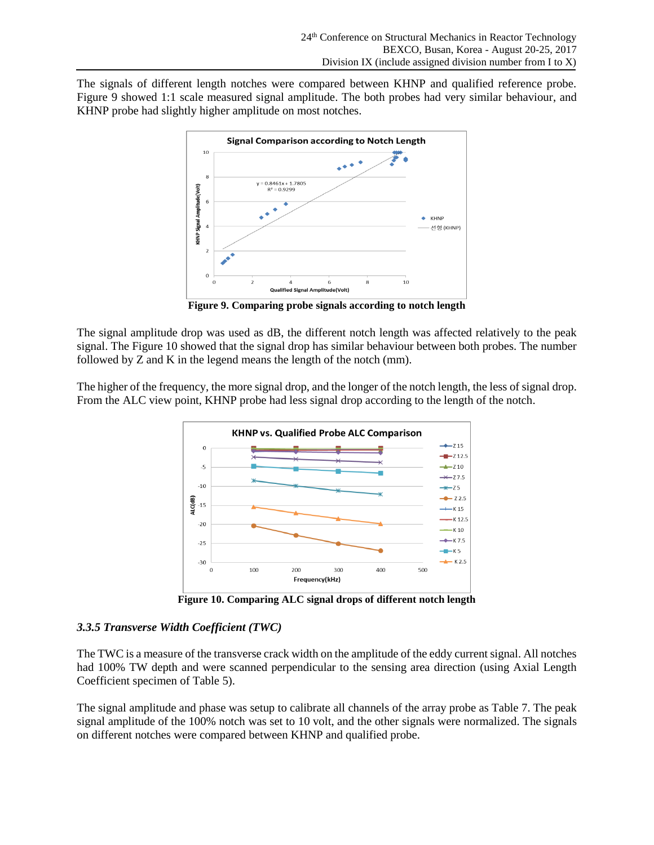The signals of different length notches were compared between KHNP and qualified reference probe. Figure 9 showed 1:1 scale measured signal amplitude. The both probes had very similar behaviour, and KHNP probe had slightly higher amplitude on most notches.



**Figure 9. Comparing probe signals according to notch length**

The signal amplitude drop was used as dB, the different notch length was affected relatively to the peak signal. The Figure 10 showed that the signal drop has similar behaviour between both probes. The number followed by Z and K in the legend means the length of the notch (mm).

The higher of the frequency, the more signal drop, and the longer of the notch length, the less of signal drop. From the ALC view point, KHNP probe had less signal drop according to the length of the notch.



**Figure 10. Comparing ALC signal drops of different notch length**

# *3.3.5 Transverse Width Coefficient (TWC)*

The TWC is a measure of the transverse crack width on the amplitude of the eddy current signal. All notches had 100% TW depth and were scanned perpendicular to the sensing area direction (using Axial Length Coefficient specimen of Table 5).

The signal amplitude and phase was setup to calibrate all channels of the array probe as Table 7. The peak signal amplitude of the 100% notch was set to 10 volt, and the other signals were normalized. The signals on different notches were compared between KHNP and qualified probe.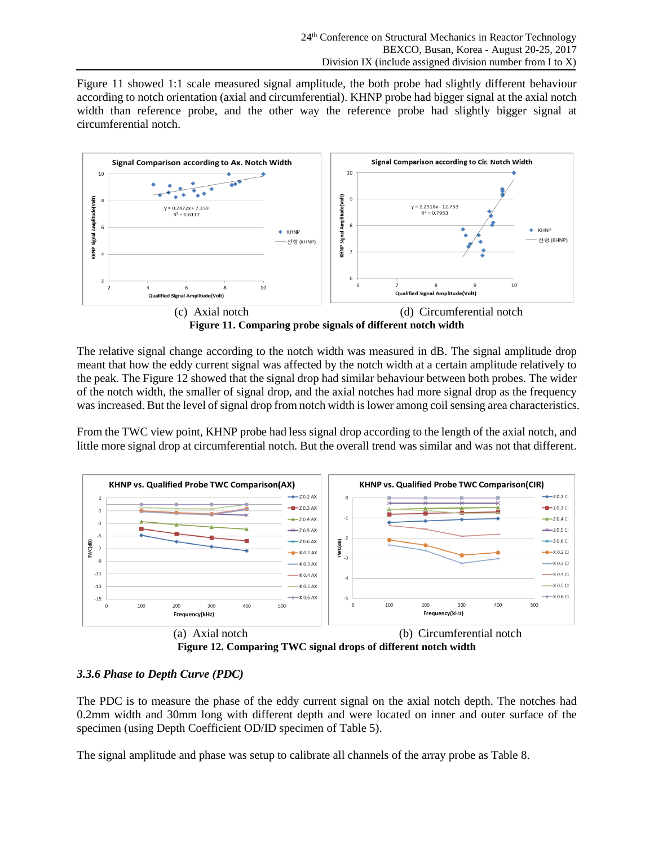Figure 11 showed 1:1 scale measured signal amplitude, the both probe had slightly different behaviour according to notch orientation (axial and circumferential). KHNP probe had bigger signal at the axial notch width than reference probe, and the other way the reference probe had slightly bigger signal at circumferential notch.



**Figure 11. Comparing probe signals of different notch width**

The relative signal change according to the notch width was measured in dB. The signal amplitude drop meant that how the eddy current signal was affected by the notch width at a certain amplitude relatively to the peak. The Figure 12 showed that the signal drop had similar behaviour between both probes. The wider of the notch width, the smaller of signal drop, and the axial notches had more signal drop as the frequency was increased. But the level of signal drop from notch width is lower among coil sensing area characteristics.

From the TWC view point, KHNP probe had less signal drop according to the length of the axial notch, and little more signal drop at circumferential notch. But the overall trend was similar and was not that different.



**Figure 12. Comparing TWC signal drops of different notch width** (a) Axial notch (b) Circumferential notch

# *3.3.6 Phase to Depth Curve (PDC)*

The PDC is to measure the phase of the eddy current signal on the axial notch depth. The notches had 0.2mm width and 30mm long with different depth and were located on inner and outer surface of the specimen (using Depth Coefficient OD/ID specimen of Table 5).

The signal amplitude and phase was setup to calibrate all channels of the array probe as Table 8.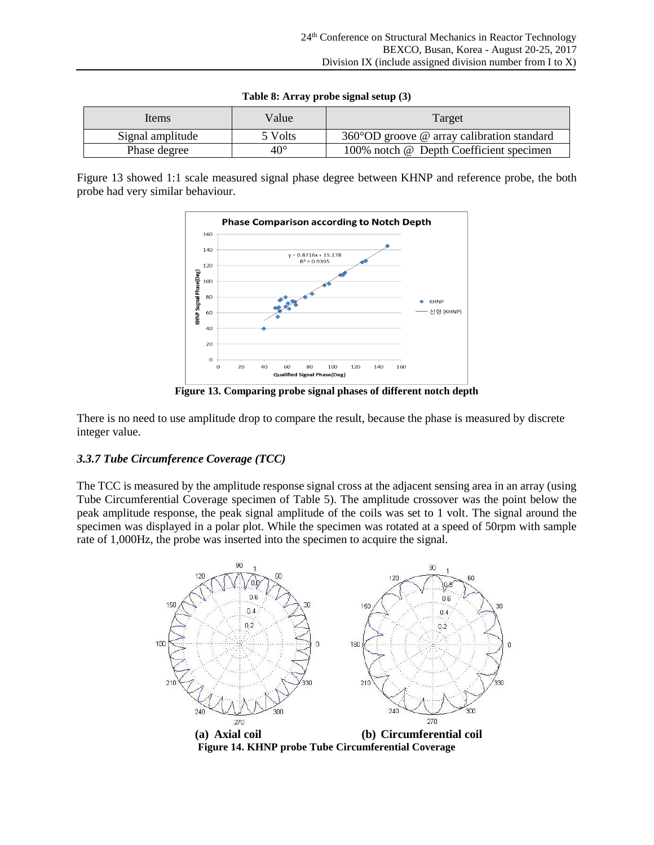| Items            | Value        | Target                                               |
|------------------|--------------|------------------------------------------------------|
| Signal amplitude | 5 Volts      | $360^{\circ}$ OD groove @ array calibration standard |
| Phase degree     | $40^{\circ}$ | 100% notch @ Depth Coefficient specimen              |

| Table 8: Array probe signal setup (3) |  |  |  |  |  |  |
|---------------------------------------|--|--|--|--|--|--|
|---------------------------------------|--|--|--|--|--|--|

Figure 13 showed 1:1 scale measured signal phase degree between KHNP and reference probe, the both probe had very similar behaviour.



**Figure 13. Comparing probe signal phases of different notch depth**

There is no need to use amplitude drop to compare the result, because the phase is measured by discrete integer value.

#### *3.3.7 Tube Circumference Coverage (TCC)*

The TCC is measured by the amplitude response signal cross at the adjacent sensing area in an array (using Tube Circumferential Coverage specimen of Table 5). The amplitude crossover was the point below the peak amplitude response, the peak signal amplitude of the coils was set to 1 volt. The signal around the specimen was displayed in a polar plot. While the specimen was rotated at a speed of 50rpm with sample rate of 1,000Hz, the probe was inserted into the specimen to acquire the signal.